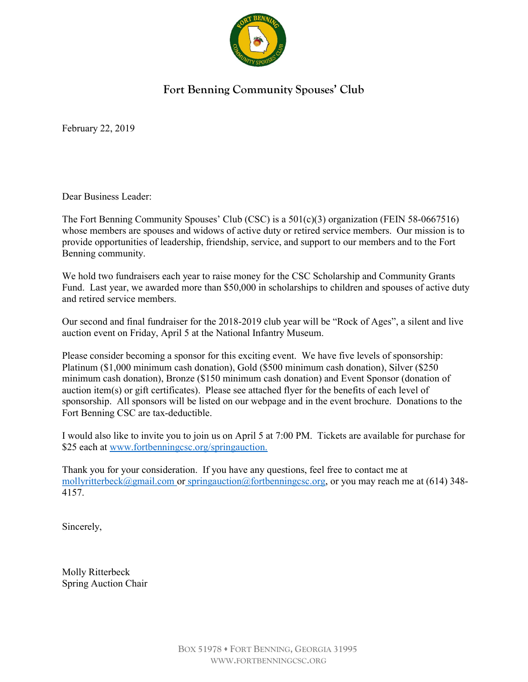

#### Fort Benning Community Spouses' Club

February 22, 2019

Dear Business Leader:

The Fort Benning Community Spouses' Club (CSC) is a 501(c)(3) organization (FEIN 58-0667516) whose members are spouses and widows of active duty or retired service members. Our mission is to provide opportunities of leadership, friendship, service, and support to our members and to the Fort Benning community.

We hold two fundraisers each year to raise money for the CSC Scholarship and Community Grants Fund. Last year, we awarded more than \$50,000 in scholarships to children and spouses of active duty and retired service members.

Our second and final fundraiser for the 2018-2019 club year will be "Rock of Ages", a silent and live auction event on Friday, April 5 at the National Infantry Museum.

Please consider becoming a sponsor for this exciting event. We have five levels of sponsorship: Platinum (\$1,000 minimum cash donation), Gold (\$500 minimum cash donation), Silver (\$250 minimum cash donation), Bronze (\$150 minimum cash donation) and Event Sponsor (donation of auction item(s) or gift certificates). Please see attached flyer for the benefits of each level of sponsorship. All sponsors will be listed on our webpage and in the event brochure. Donations to the Fort Benning CSC are tax-deductible.

I would also like to invite you to join us on April 5 at 7:00 PM. Tickets are available for purchase for \$25 each at www.fortbenningcsc.org/springauction.

Thank you for your consideration. If you have any questions, feel free to contact me at mollyritterbeck@gmail.com or springauction@fortbenningcsc.org, or you may reach me at (614) 348- 4157.

Sincerely,

Molly Ritterbeck Spring Auction Chair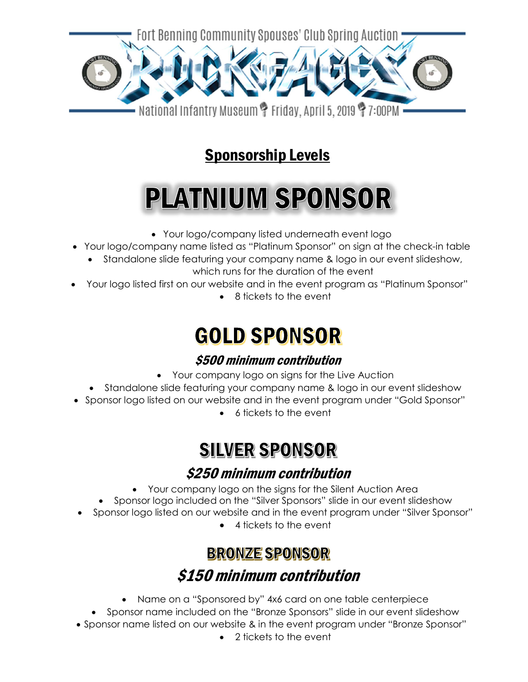

## **Sponsorship Levels**

# **PLATNIUM SPONSOR**

- Your logo/company listed underneath event logo
- Your logo/company name listed as "Platinum Sponsor" on sign at the check-in table
	- Standalone slide featuring your company name & logo in our event slideshow, which runs for the duration of the event
- Your logo listed first on our website and in the event program as "Platinum Sponsor"
	- 8 tickets to the event

# **GOLD SPONSOR**

### \$500 minimum contribution

- Your company logo on signs for the Live Auction
- Standalone slide featuring your company name & logo in our event slideshow
- Sponsor logo listed on our website and in the event program under "Gold Sponsor"
	- 6 tickets to the event

# **SILVER SPONSOR**

### \$250 minimum contribution

- Your company logo on the signs for the Silent Auction Area
- Sponsor logo included on the "Silver Sponsors" slide in our event slideshow
- Sponsor logo listed on our website and in the event program under "Silver Sponsor"
	- 4 tickets to the event

## **BRONZE SPONSOR** \$150 minimum contribution

- Name on a "Sponsored by" 4x6 card on one table centerpiece
- Sponsor name included on the "Bronze Sponsors" slide in our event slideshow
- Sponsor name listed on our website & in the event program under "Bronze Sponsor"
	- 2 tickets to the event